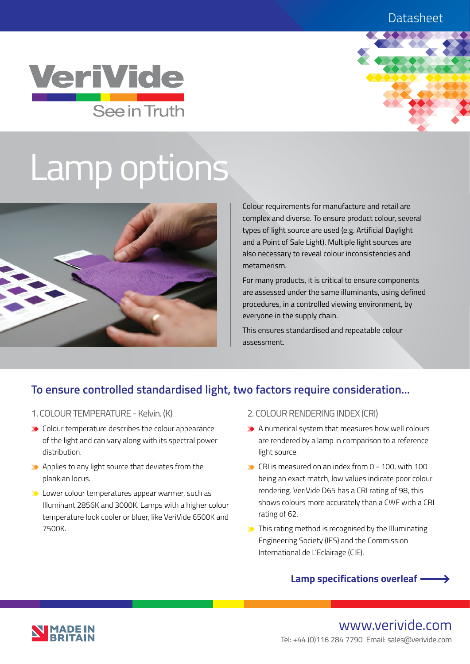## **Datasheet**





# Lamp options



Colour requirements for manufacture and retail are complex and diverse. To ensure product colour, several types of light source are used (e.g. Artificial Daylight and a Point of Sale Light). Multiple light sources are also necessary to reveal colour inconsistencies and metamerism.

For many products, it is critical to ensure components are assessed under the same illuminants, using defined procedures, in a controlled viewing environment, by everyone in the supply chain.

This ensures standardised and repeatable colour assessment.

## **To ensure controlled standardised light, two factors require consideration...**

- 1. COLOUR TEMPERATURE Kelvin. (K)
- $\blacktriangleright$  Colour temperature describes the colour appearance of the light and can vary along with its spectral power distribution.
- $\blacktriangleright$  Applies to any light source that deviates from the plankian locus.
- **D** Lower colour temperatures appear warmer, such as Illuminant 2856K and 3000K. Lamps with a higher colour temperature look cooler or bluer, like VeriVide 6500K and 7500K.
- 2. COLOUR RENDERING INDEX (CRI)
- $\blacktriangleright$  A numerical system that measures how well colours are rendered by a lamp in comparison to a reference light source.
- $\blacktriangleright$  CRI is measured on an index from 0 100, with 100 being an exact match, low values indicate poor colour rendering. VeriVide D65 has a CRI rating of 98, this shows colours more accurately than a CWF with a CRI rating of 62.
- $\blacktriangleright$  This rating method is recognised by the Illuminating Engineering Society (IES) and the Commission International de L'Eclairage (CIE).

## **Lamp specifications overleaf**

www.verivide.com Tel: +44 (0)116 284 7790 Email: sales@verivide.com